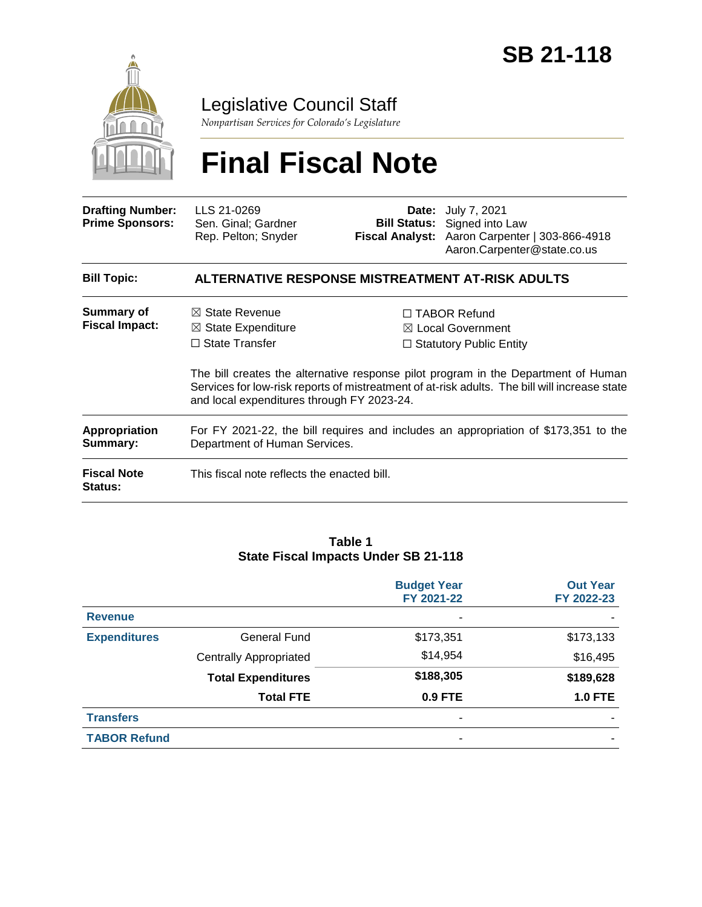

# Legislative Council Staff

*Nonpartisan Services for Colorado's Legislature*

# **Final Fiscal Note**

| <b>Drafting Number:</b><br><b>Prime Sponsors:</b> | LLS 21-0269<br>Sen. Ginal; Gardner<br>Rep. Pelton; Snyder                                                                         |  | <b>Date:</b> July 7, 2021<br><b>Bill Status:</b> Signed into Law<br>Fiscal Analyst: Aaron Carpenter   303-866-4918<br>Aaron.Carpenter@state.co.us                                                                                                                  |  |  |  |
|---------------------------------------------------|-----------------------------------------------------------------------------------------------------------------------------------|--|--------------------------------------------------------------------------------------------------------------------------------------------------------------------------------------------------------------------------------------------------------------------|--|--|--|
| <b>Bill Topic:</b>                                | ALTERNATIVE RESPONSE MISTREATMENT AT-RISK ADULTS                                                                                  |  |                                                                                                                                                                                                                                                                    |  |  |  |
| Summary of<br><b>Fiscal Impact:</b>               | $\boxtimes$ State Revenue<br>$\boxtimes$ State Expenditure<br>$\Box$ State Transfer<br>and local expenditures through FY 2023-24. |  | $\Box$ TABOR Refund<br>⊠ Local Government<br>$\Box$ Statutory Public Entity<br>The bill creates the alternative response pilot program in the Department of Human<br>Services for low-risk reports of mistreatment of at-risk adults. The bill will increase state |  |  |  |
| <b>Appropriation</b><br>Summary:                  | For FY 2021-22, the bill requires and includes an appropriation of \$173,351 to the<br>Department of Human Services.              |  |                                                                                                                                                                                                                                                                    |  |  |  |
| <b>Fiscal Note</b><br><b>Status:</b>              | This fiscal note reflects the enacted bill.                                                                                       |  |                                                                                                                                                                                                                                                                    |  |  |  |

#### **Table 1 State Fiscal Impacts Under SB 21-118**

|                     |                               | <b>Budget Year</b><br>FY 2021-22 | <b>Out Year</b><br>FY 2022-23 |
|---------------------|-------------------------------|----------------------------------|-------------------------------|
| <b>Revenue</b>      |                               | ٠                                |                               |
| <b>Expenditures</b> | <b>General Fund</b>           | \$173,351                        | \$173,133                     |
|                     | <b>Centrally Appropriated</b> | \$14,954                         | \$16,495                      |
|                     | <b>Total Expenditures</b>     | \$188,305                        | \$189,628                     |
|                     | <b>Total FTE</b>              | 0.9 FTE                          | <b>1.0 FTE</b>                |
| <b>Transfers</b>    |                               | ٠                                |                               |
| <b>TABOR Refund</b> |                               |                                  |                               |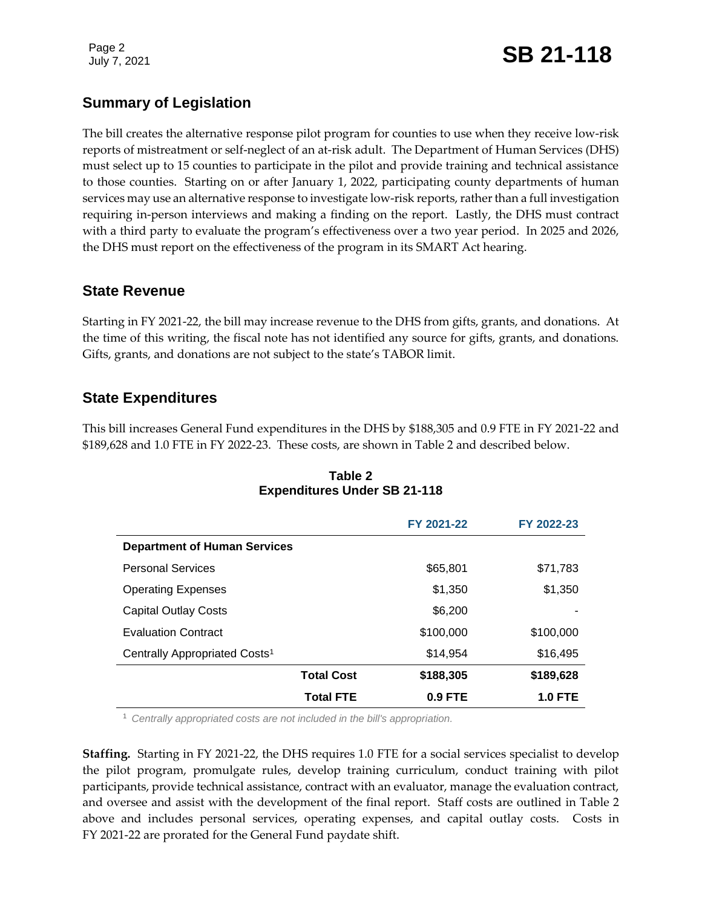Page 2

# Page 2<br>July 7, 2021 **SB 21-118**

# **Summary of Legislation**

The bill creates the alternative response pilot program for counties to use when they receive low-risk reports of mistreatment or self-neglect of an at-risk adult. The Department of Human Services (DHS) must select up to 15 counties to participate in the pilot and provide training and technical assistance to those counties. Starting on or after January 1, 2022, participating county departments of human services may use an alternative response to investigate low-risk reports, rather than a full investigation requiring in-person interviews and making a finding on the report. Lastly, the DHS must contract with a third party to evaluate the program's effectiveness over a two year period. In 2025 and 2026, the DHS must report on the effectiveness of the program in its SMART Act hearing.

## **State Revenue**

Starting in FY 2021-22, the bill may increase revenue to the DHS from gifts, grants, and donations. At the time of this writing, the fiscal note has not identified any source for gifts, grants, and donations. Gifts, grants, and donations are not subject to the state's TABOR limit.

## **State Expenditures**

This bill increases General Fund expenditures in the DHS by \$188,305 and 0.9 FTE in FY 2021-22 and \$189,628 and 1.0 FTE in FY 2022-23. These costs, are shown in Table 2 and described below.

|                                           |                   | FY 2021-22 | FY 2022-23     |
|-------------------------------------------|-------------------|------------|----------------|
| <b>Department of Human Services</b>       |                   |            |                |
| <b>Personal Services</b>                  |                   | \$65,801   | \$71,783       |
| <b>Operating Expenses</b>                 |                   | \$1,350    | \$1,350        |
| <b>Capital Outlay Costs</b>               |                   | \$6,200    |                |
| <b>Evaluation Contract</b>                |                   | \$100,000  | \$100,000      |
| Centrally Appropriated Costs <sup>1</sup> |                   | \$14,954   | \$16,495       |
|                                           | <b>Total Cost</b> | \$188,305  | \$189,628      |
|                                           | <b>Total FTE</b>  | $0.9$ FTE  | <b>1.0 FTE</b> |

#### **Table 2 Expenditures Under SB 21-118**

<sup>1</sup> *Centrally appropriated costs are not included in the bill's appropriation.*

**Staffing.** Starting in FY 2021-22, the DHS requires 1.0 FTE for a social services specialist to develop the pilot program, promulgate rules, develop training curriculum, conduct training with pilot participants, provide technical assistance, contract with an evaluator, manage the evaluation contract, and oversee and assist with the development of the final report. Staff costs are outlined in Table 2 above and includes personal services, operating expenses, and capital outlay costs. Costs in FY 2021-22 are prorated for the General Fund paydate shift.